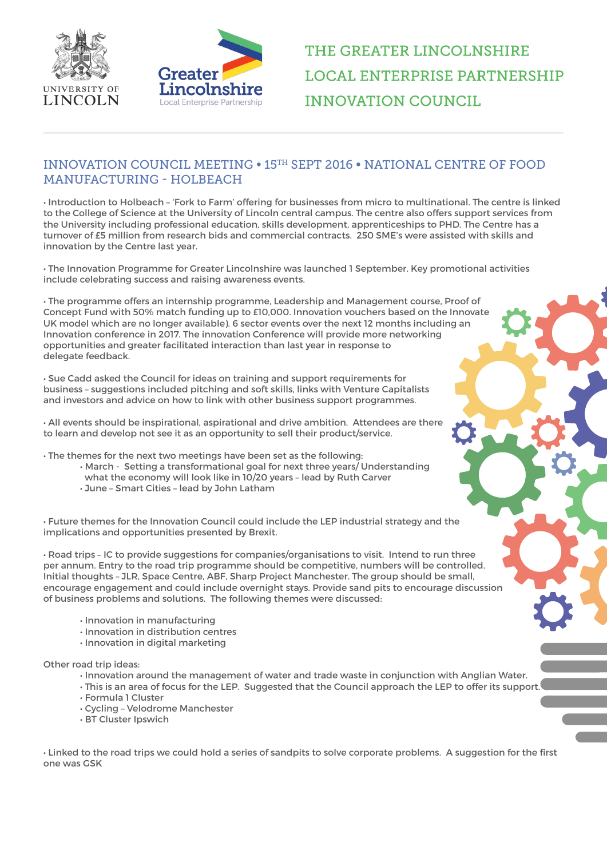



## THE GREATER LINCOLNSHIRE **LOCAL ENTERPRISE PARTNERSHIP INNOVATION COUNCIL**

## INNOVATION COUNCIL MEETING • 15TH SEPT 2016 • NATIONAL CENTRE OF FOOD MANUFACTURING - HOLBEACH

• Introduction to Holbeach – 'Fork to Farm' offering for businesses from micro to multinational. The centre is linked to the College of Science at the University of Lincoln central campus. The centre also offers support services from the University including professional education, skills development, apprenticeships to PHD. The Centre has a turnover of £5 million from research bids and commercial contracts. 250 SME's were assisted with skills and innovation by the Centre last year.

• The Innovation Programme for Greater Lincolnshire was launched 1 September. Key promotional activities include celebrating success and raising awareness events.

• The programme offers an internship programme, Leadership and Management course, Proof of Concept Fund with 50% match funding up to £10,000. Innovation vouchers based on the Innovate UK model which are no longer available). 6 sector events over the next 12 months including an Innovation conference in 2017. The innovation Conference will provide more networking opportunities and greater facilitated interaction than last year in response to delegate feedback.

• Sue Cadd asked the Council for ideas on training and support requirements for business – suggestions included pitching and soft skills, links with Venture Capitalists and investors and advice on how to link with other business support programmes.

• All events should be inspirational, aspirational and drive ambition. Attendees are there to learn and develop not see it as an opportunity to sell their product/service.

• The themes for the next two meetings have been set as the following:

- March Setting a transformational goal for next three years/ Understanding
- what the economy will look like in 10/20 years lead by Ruth Carver
- June Smart Cities lead by John Latham

• Future themes for the Innovation Council could include the LEP industrial strategy and the implications and opportunities presented by Brexit.

• Road trips – IC to provide suggestions for companies/organisations to visit. Intend to run three per annum. Entry to the road trip programme should be competitive, numbers will be controlled. Initial thoughts – JLR, Space Centre, ABF, Sharp Project Manchester. The group should be small, encourage engagement and could include overnight stays. Provide sand pits to encourage discussion of business problems and solutions. The following themes were discussed:

- Innovation in manufacturing
- Innovation in distribution centres
- Innovation in digital marketing

Other road trip ideas:

- Innovation around the management of water and trade waste in conjunction with Anglian Water.
- This is an area of focus for the LEP. Suggested that the Council approach the LEP to offer its support.
- Formula 1 Cluster
- Cycling Velodrome Manchester
- BT Cluster Ipswich

• Linked to the road trips we could hold a series of sandpits to solve corporate problems. A suggestion for the first one was GSK